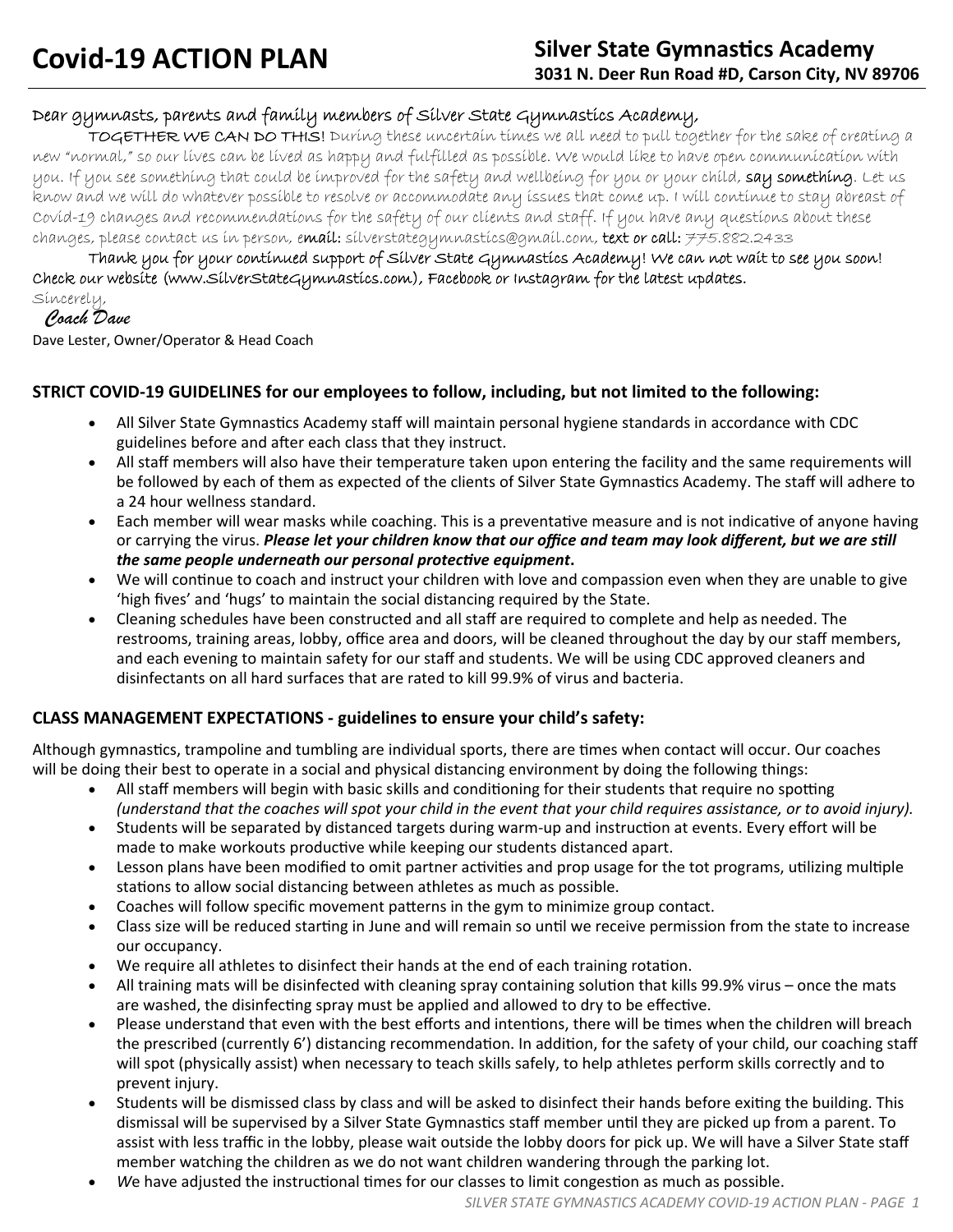# Dear gymnasts, parents and family members of Silver State Gymnastics Academy,

 TOGETHER WE CAN DO THIS! During these uncertain times we all need to pull together for the sake of creating a new "normal," so our lives can be lived as happy and fulfilled as possible. We would like to have open communication with you. If you see something that could be improved for the safety and wellbeing for you or your child, say something. Let us know and we will do whatever possible to resolve or accommodate any issues that come up. I will continue to stay abreast of Covid-19 changes and recommendations for the safety of our clients and staff. If you have any questions about these changes, please contact us in person, email: silverstategymnastics@gmail.com, text or call: 775.882.2433

 Thank you for your continued support of Silver State Gymnastics Academy! We can not wait to see you soon! Check our website (www.SilverStateGymnastics.com), Facebook or Instagram for the latest updates. Sincerely,

# *Coach Dave*

Dave Lester, Owner/Operator & Head Coach

## **STRICT COVID‐19 GUIDELINES for our employees to follow, including, but not limited to the following:**

- All Silver State Gymnastics Academy staff will maintain personal hygiene standards in accordance with CDC guidelines before and after each class that they instruct.
- All staff members will also have their temperature taken upon entering the facility and the same requirements will be followed by each of them as expected of the clients of Silver State Gymnastics Academy. The staff will adhere to a 24 hour wellness standard.
- Each member will wear masks while coaching. This is a preventative measure and is not indicative of anyone having or carrying the virus. *Please let your children know that our office and team may look different, but we are sƟll the same people underneath our personal protective equipment.*
- We will continue to coach and instruct your children with love and compassion even when they are unable to give 'high fives' and 'hugs' to maintain the social distancing required by the State.
- Cleaning schedules have been constructed and all staff are required to complete and help as needed. The restrooms, training areas, lobby, office area and doors, will be cleaned throughout the day by our staff members, and each evening to maintain safety for our staff and students. We will be using CDC approved cleaners and disinfectants on all hard surfaces that are rated to kill 99.9% of virus and bacteria.

## **CLASS MANAGEMENT EXPECTATIONS ‐ guidelines to ensure your child's safety:**

Although gymnastics, trampoline and tumbling are individual sports, there are times when contact will occur. Our coaches will be doing their best to operate in a social and physical distancing environment by doing the following things:

- All staff members will begin with basic skills and conditioning for their students that require no spotting *(understand that the coaches will spot your child in the event that your child requires assistance, or to avoid injury).*
- Students will be separated by distanced targets during warm-up and instruction at events. Every effort will be made to make workouts productive while keeping our students distanced apart.
- Lesson plans have been modified to omit partner activities and prop usage for the tot programs, utilizing multiple stations to allow social distancing between athletes as much as possible.
- Coaches will follow specific movement patterns in the gym to minimize group contact.
- Class size will be reduced starting in June and will remain so until we receive permission from the state to increase our occupancy.
- We require all athletes to disinfect their hands at the end of each training rotation.
- All training mats will be disinfected with cleaning spray containing solution that kills 99.9% virus once the mats are washed, the disinfecting spray must be applied and allowed to dry to be effective.
- Please understand that even with the best efforts and intentions, there will be times when the children will breach the prescribed (currently 6') distancing recommendation. In addition, for the safety of your child, our coaching staff will spot (physically assist) when necessary to teach skills safely, to help athletes perform skills correctly and to prevent injury.
- Students will be dismissed class by class and will be asked to disinfect their hands before exiting the building. This dismissal will be supervised by a Silver State Gymnastics staff member until they are picked up from a parent. To assist with less traffic in the lobby, please wait outside the lobby doors for pick up. We will have a Silver State staff member watching the children as we do not want children wandering through the parking lot.
- We have adjusted the instructional times for our classes to limit congestion as much as possible.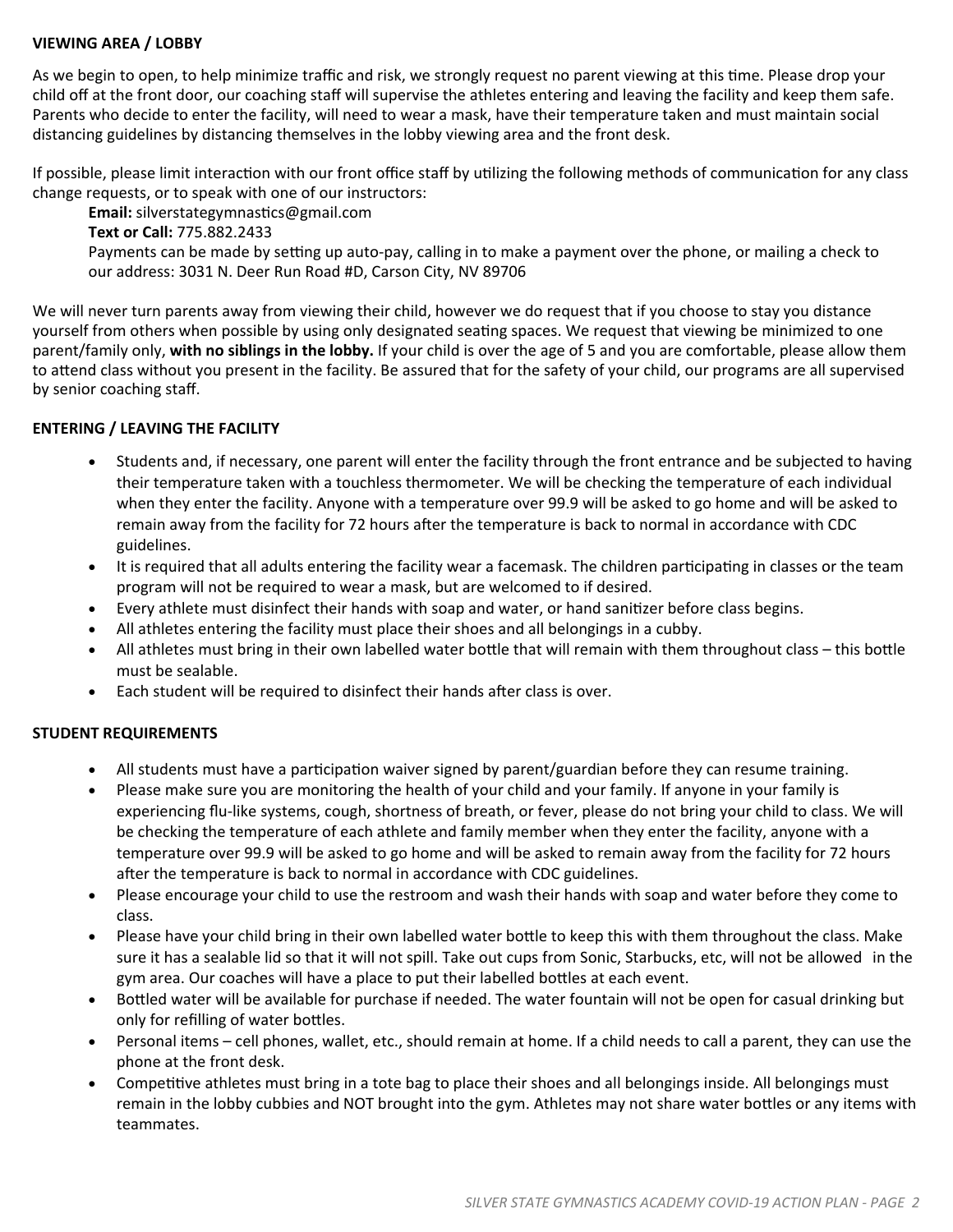#### **VIEWING AREA / LOBBY**

As we begin to open, to help minimize traffic and risk, we strongly request no parent viewing at this time. Please drop your child off at the front door, our coaching staff will supervise the athletes entering and leaving the facility and keep them safe. Parents who decide to enter the facility, will need to wear a mask, have their temperature taken and must maintain social distancing guidelines by distancing themselves in the lobby viewing area and the front desk.

If possible, please limit interaction with our front office staff by utilizing the following methods of communication for any class change requests, or to speak with one of our instructors:

**Email:** silverstategymnasƟcs@gmail.com

**Text or Call:** 775.882.2433

Payments can be made by setting up auto-pay, calling in to make a payment over the phone, or mailing a check to our address: 3031 N. Deer Run Road #D, Carson City, NV 89706

We will never turn parents away from viewing their child, however we do request that if you choose to stay you distance yourself from others when possible by using only designated seating spaces. We request that viewing be minimized to one parent/family only, **with no siblings in the lobby.** If your child is over the age of 5 and you are comfortable, please allow them to attend class without you present in the facility. Be assured that for the safety of your child, our programs are all supervised by senior coaching staff.

#### **ENTERING / LEAVING THE FACILITY**

- Students and, if necessary, one parent will enter the facility through the front entrance and be subjected to having their temperature taken with a touchless thermometer. We will be checking the temperature of each individual when they enter the facility. Anyone with a temperature over 99.9 will be asked to go home and will be asked to remain away from the facility for 72 hours after the temperature is back to normal in accordance with CDC guidelines.
- It is required that all adults entering the facility wear a facemask. The children participating in classes or the team program will not be required to wear a mask, but are welcomed to if desired.
- Every athlete must disinfect their hands with soap and water, or hand sanitizer before class begins.
- All athletes entering the facility must place their shoes and all belongings in a cubby.
- All athletes must bring in their own labelled water bottle that will remain with them throughout class this bottle must be sealable.
- Each student will be required to disinfect their hands after class is over.

#### **STUDENT REQUIREMENTS**

- All students must have a participation waiver signed by parent/guardian before they can resume training.
- Please make sure you are monitoring the health of your child and your family. If anyone in your family is experiencing flu-like systems, cough, shortness of breath, or fever, please do not bring your child to class. We will be checking the temperature of each athlete and family member when they enter the facility, anyone with a temperature over 99.9 will be asked to go home and will be asked to remain away from the facility for 72 hours after the temperature is back to normal in accordance with CDC guidelines.
- Please encourage your child to use the restroom and wash their hands with soap and water before they come to class.
- Please have your child bring in their own labelled water bottle to keep this with them throughout the class. Make sure it has a sealable lid so that it will not spill. Take out cups from Sonic, Starbucks, etc, will not be allowed in the gym area. Our coaches will have a place to put their labelled bottles at each event.
- Bottled water will be available for purchase if needed. The water fountain will not be open for casual drinking but only for refilling of water bottles.
- Personal items cell phones, wallet, etc., should remain at home. If a child needs to call a parent, they can use the phone at the front desk.
- Competitive athletes must bring in a tote bag to place their shoes and all belongings inside. All belongings must remain in the lobby cubbies and NOT brought into the gym. Athletes may not share water bottles or any items with teammates.